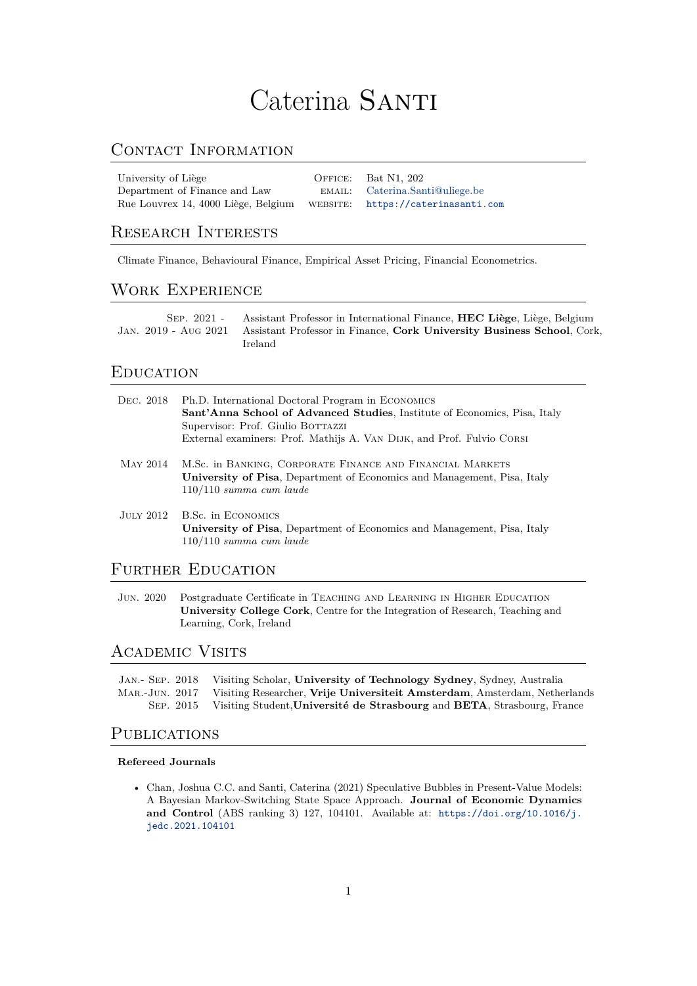# Caterina SANTI

# CONTACT INFORMATION

| University of Liège                 | OFFICE: Bat N1, 202                |
|-------------------------------------|------------------------------------|
| Department of Finance and Law       | EMAIL: Caterina.Santi@uliege.be    |
| Rue Louvrex 14, 4000 Liège, Belgium | WEBSITE: https://caterinasanti.com |

# Research Interests

Climate Finance, Behavioural Finance, Empirical Asset Pricing, Financial Econometrics.

## Work Experience

| $SEP. 2021 -$ | Assistant Professor in International Finance, <b>HEC Liège</b> , Liège, Belgium             |
|---------------|---------------------------------------------------------------------------------------------|
|               | JAN. 2019 - AUG 2021 Assistant Professor in Finance, Cork University Business School, Cork, |
|               | Ireland                                                                                     |

## **EDUCATION**

| DEC. 2018 | Ph.D. International Doctoral Program in ECONOMICS<br>Sant'Anna School of Advanced Studies, Institute of Economics, Pisa, Italy<br>Supervisor: Prof. Giulio BOTTAZZI<br>External examiners: Prof. Mathijs A. VAN DIJK, and Prof. Fulvio CORSI |
|-----------|----------------------------------------------------------------------------------------------------------------------------------------------------------------------------------------------------------------------------------------------|
| MAY 2014  | M.Sc. in BANKING, CORPORATE FINANCE AND FINANCIAL MARKETS<br>University of Pisa, Department of Economics and Management, Pisa, Italy<br>$110/110$ summa cum laude                                                                            |
|           | JULY 2012 B.Sc. in ECONOMICS<br>University of Pisa, Department of Economics and Management, Pisa, Italy<br>$110/110$ summa cum laude                                                                                                         |
|           | FURTHER EDUCATION                                                                                                                                                                                                                            |

Jun. 2020 Postgraduate Certificate in Teaching and Learning in Higher Education **University College Cork**, Centre for the Integration of Research, Teaching and Learning, Cork, Ireland

## Academic Visits

Jan.- Sep. 2018 Visiting Scholar, **University of Technology Sydney**, Sydney, Australia Mar.-Jun. 2017 Visiting Researcher, **Vrije Universiteit Amsterdam**, Amsterdam, Netherlands Sep. 2015 Visiting Student,**Université de Strasbourg** and **BETA**, Strasbourg, France

## PUBLICATIONS

#### **Refereed Journals**

• Chan, Joshua C.C. and Santi, Caterina (2021) Speculative Bubbles in Present-Value Models: A Bayesian Markov-Switching State Space Approach. **Journal of Economic Dynamics and Control** (ABS ranking 3) 127, 104101. Available at: [https://doi.org/10.1016/j.](https://doi.org/10.1016/j.jedc.2021.104101) [jedc.2021.104101](https://doi.org/10.1016/j.jedc.2021.104101)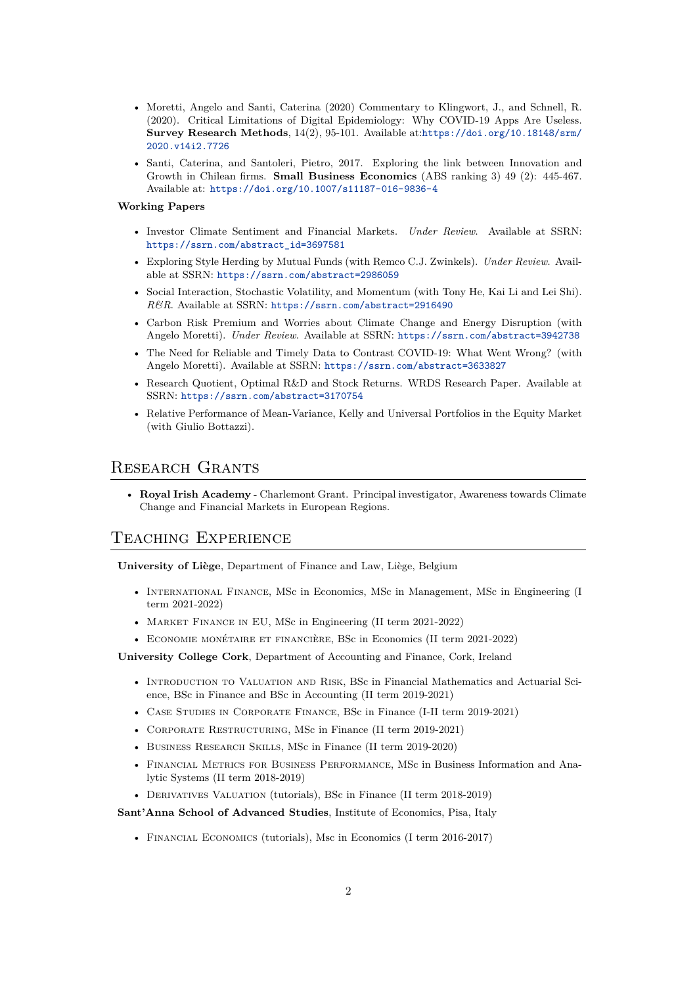- Moretti, Angelo and Santi, Caterina (2020) Commentary to Klingwort, J., and Schnell, R. (2020). Critical Limitations of Digital Epidemiology: Why COVID-19 Apps Are Useless. **Survey Research Methods**, 14(2), 95-101. Available at:[https://doi.org/10.18148/srm/](https://doi.org/10.18148/srm/2020.v14i2.7726) [2020.v14i2.7726](https://doi.org/10.18148/srm/2020.v14i2.7726)
- Santi, Caterina, and Santoleri, Pietro, 2017. Exploring the link between Innovation and Growth in Chilean firms. **Small Business Economics** (ABS ranking 3) 49 (2): 445-467. Available at: <https://doi.org/10.1007/s11187-016-9836-4>

#### **Working Papers**

- Investor Climate Sentiment and Financial Markets. *Under Review*. Available at SSRN: [https://ssrn.com/abstract\\_id=3697581](https://ssrn.com/abstract_id=3697581)
- Exploring Style Herding by Mutual Funds (with Remco C.J. Zwinkels). *Under Review*. Available at SSRN: <https://ssrn.com/abstract=2986059>
- Social Interaction, Stochastic Volatility, and Momentum (with Tony He, Kai Li and Lei Shi). *R&R*. Available at SSRN: <https://ssrn.com/abstract=2916490>
- Carbon Risk Premium and Worries about Climate Change and Energy Disruption (with Angelo Moretti). *Under Review*. Available at SSRN: <https://ssrn.com/abstract=3942738>
- The Need for Reliable and Timely Data to Contrast COVID-19: What Went Wrong? (with Angelo Moretti). Available at SSRN: <https://ssrn.com/abstract=3633827>
- Research Quotient, Optimal R&D and Stock Returns. WRDS Research Paper. Available at SSRN: <https://ssrn.com/abstract=3170754>
- Relative Performance of Mean-Variance, Kelly and Universal Portfolios in the Equity Market (with Giulio Bottazzi).

# Research Grants

• **Royal Irish Academy** - Charlemont Grant. Principal investigator, Awareness towards Climate Change and Financial Markets in European Regions.

# Teaching Experience

**University of Liège**, Department of Finance and Law, Liège, Belgium

- International Finance, MSc in Economics, MSc in Management, MSc in Engineering (I term 2021-2022)
- MARKET FINANCE IN EU, MSc in Engineering (II term 2021-2022)
- Economie monétaire et financière, BSc in Economics (II term 2021-2022)

**University College Cork**, Department of Accounting and Finance, Cork, Ireland

- INTRODUCTION TO VALUATION AND RISK, BSc in Financial Mathematics and Actuarial Science, BSc in Finance and BSc in Accounting (II term 2019-2021)
- Case Studies in Corporate Finance, BSc in Finance (I-II term 2019-2021)
- CORPORATE RESTRUCTURING, MSc in Finance (II term 2019-2021)
- Business Research Skills, MSc in Finance (II term 2019-2020)
- Financial Metrics for Business Performance, MSc in Business Information and Analytic Systems (II term 2018-2019)
- Derivatives Valuation (tutorials), BSc in Finance (II term 2018-2019)

#### **Sant'Anna School of Advanced Studies**, Institute of Economics, Pisa, Italy

• Financial Economics (tutorials), Msc in Economics (I term 2016-2017)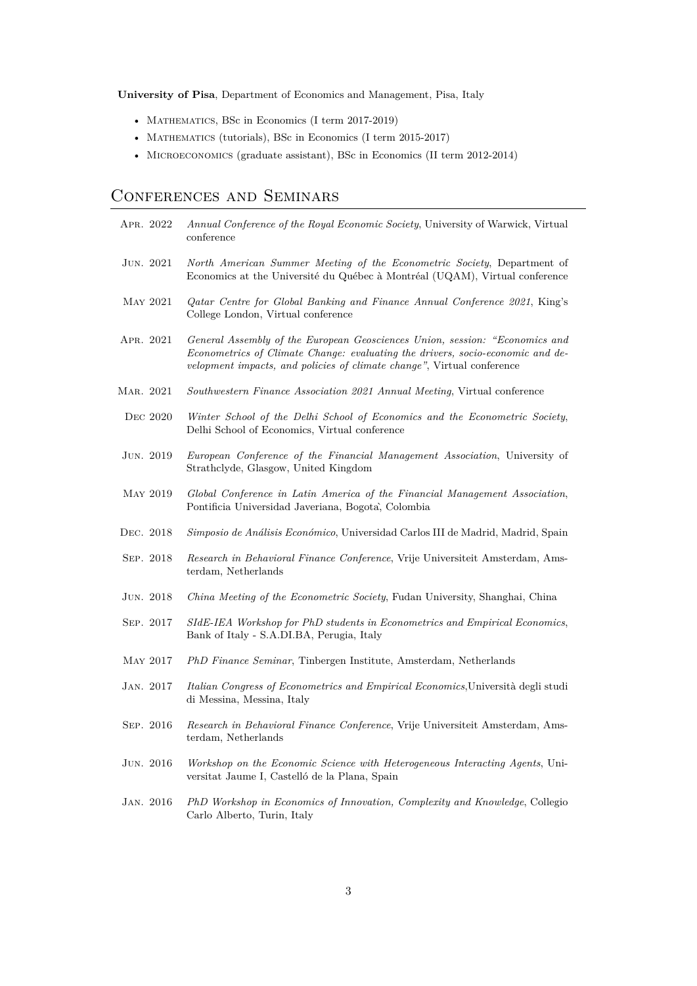**University of Pisa**, Department of Economics and Management, Pisa, Italy

- MATHEMATICS, BSc in Economics (I term 2017-2019)
- MATHEMATICS (tutorials), BSc in Economics (I term 2015-2017)
- Microeconomics (graduate assistant), BSc in Economics (II term 2012-2014)

# Conferences and Seminars

| APR. 2022       | Annual Conference of the Royal Economic Society, University of Warwick, Virtual<br>conference                                                                                                                                           |
|-----------------|-----------------------------------------------------------------------------------------------------------------------------------------------------------------------------------------------------------------------------------------|
| JUN. 2021       | North American Summer Meeting of the Econometric Society, Department of<br>Economics at the Université du Québec à Montréal (UQAM), Virtual conference                                                                                  |
| MAY 2021        | Qatar Centre for Global Banking and Finance Annual Conference 2021, King's<br>College London, Virtual conference                                                                                                                        |
| APR. 2021       | General Assembly of the European Geosciences Union, session: "Economics and<br>Econometrics of Climate Change: evaluating the drivers, socio-economic and de-<br>velopment impacts, and policies of climate change", Virtual conference |
| MAR. 2021       | Southwestern Finance Association 2021 Annual Meeting, Virtual conference                                                                                                                                                                |
| DEC 2020        | Winter School of the Delhi School of Economics and the Econometric Society,<br>Delhi School of Economics, Virtual conference                                                                                                            |
| JUN. 2019       | European Conference of the Financial Management Association, University of<br>Strathclyde, Glasgow, United Kingdom                                                                                                                      |
| <b>MAY 2019</b> | Global Conference in Latin America of the Financial Management Association,<br>Pontificia Universidad Javeriana, Bogota, Colombia                                                                                                       |
| DEC. 2018       | Simposio de Análisis Económico, Universidad Carlos III de Madrid, Madrid, Spain                                                                                                                                                         |
| SEP. 2018       | Research in Behavioral Finance Conference, Vrije Universiteit Amsterdam, Ams-<br>terdam, Netherlands                                                                                                                                    |
| JUN. 2018       | China Meeting of the Econometric Society, Fudan University, Shanghai, China                                                                                                                                                             |
| SEP. 2017       | SIdE-IEA Workshop for PhD students in Econometrics and Empirical Economics,<br>Bank of Italy - S.A.DI.BA, Perugia, Italy                                                                                                                |
| <b>MAY 2017</b> | PhD Finance Seminar, Tinbergen Institute, Amsterdam, Netherlands                                                                                                                                                                        |
| JAN. 2017       | Italian Congress of Econometrics and Empirical Economics, Università degli studi<br>di Messina, Messina, Italy                                                                                                                          |
| SEP. 2016       | Research in Behavioral Finance Conference, Vrije Universiteit Amsterdam, Ams-<br>terdam, Netherlands                                                                                                                                    |
| JUN. 2016       | Workshop on the Economic Science with Heterogeneous Interacting Agents, Uni-<br>versitat Jaume I, Castelló de la Plana, Spain                                                                                                           |
| JAN. 2016       | PhD Workshop in Economics of Innovation, Complexity and Knowledge, Collegio<br>Carlo Alberto, Turin, Italy                                                                                                                              |
|                 |                                                                                                                                                                                                                                         |